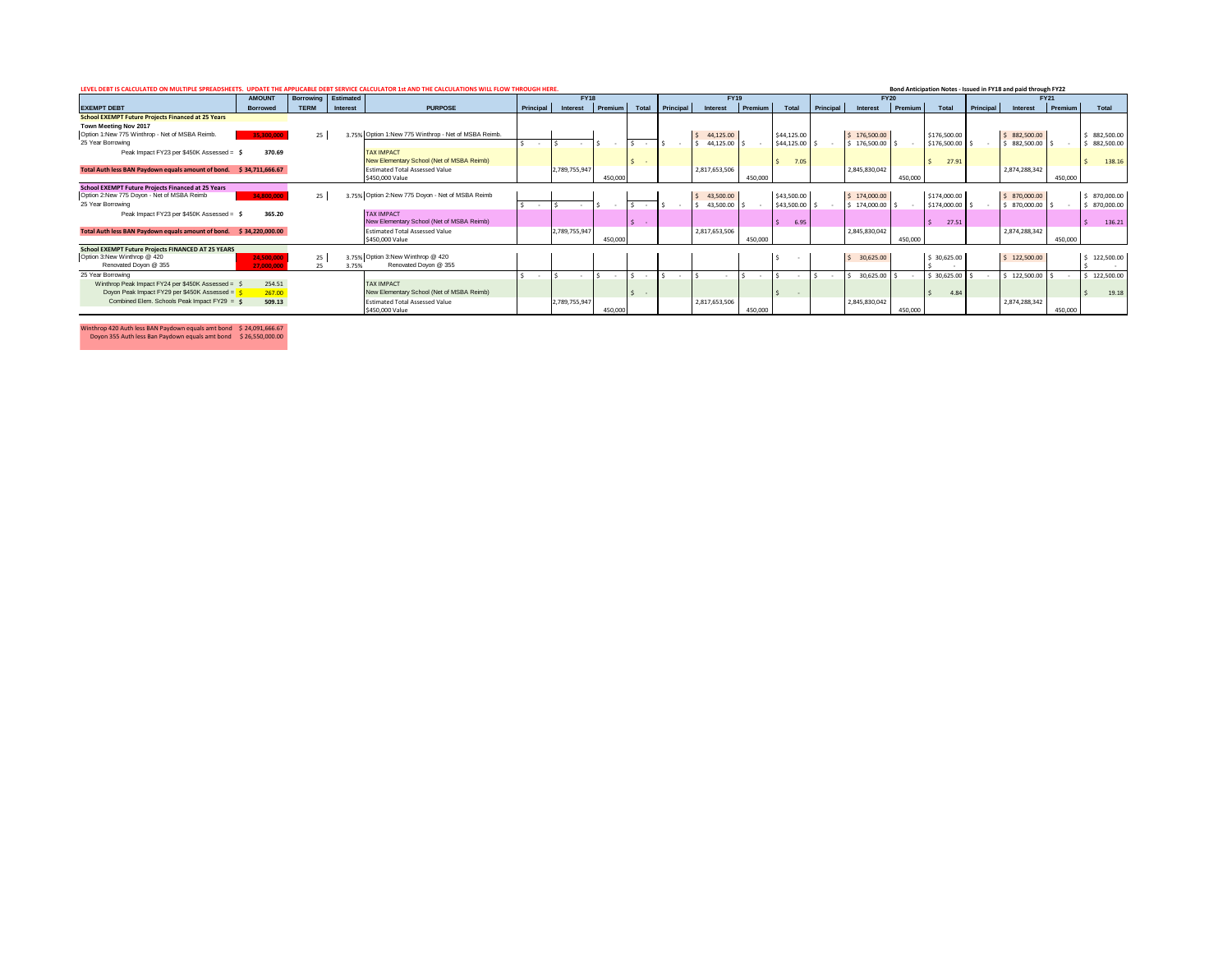| LEVEL DEBT IS CALCULATED ON MULTIPLE SPREADSHEETS.<br>TOR 1st AND THE CALCULATIONS WILL FLOW THROUGH HERE.<br>Bond Anticipation Notes - Issued in FY18 and paid through FY22<br><b>AMOUNT</b><br>Estimated<br><b>Borrowing</b><br><b>FY18</b><br><b>FY20</b><br><b>FY19</b><br><b>FY21</b> |                 |             |          |                                                  |                  |               |         |              |                  |                           |         |             |           |               |         |                 |           |               |         |            |
|--------------------------------------------------------------------------------------------------------------------------------------------------------------------------------------------------------------------------------------------------------------------------------------------|-----------------|-------------|----------|--------------------------------------------------|------------------|---------------|---------|--------------|------------------|---------------------------|---------|-------------|-----------|---------------|---------|-----------------|-----------|---------------|---------|------------|
|                                                                                                                                                                                                                                                                                            |                 |             |          |                                                  |                  |               |         |              |                  |                           |         |             |           |               |         |                 |           |               |         |            |
| <b>EXEMPT DEBT</b>                                                                                                                                                                                                                                                                         | <b>Borrowed</b> | <b>TERM</b> | Interest | <b>PURPOSE</b>                                   | <b>Principal</b> | Interest      | Premium | Total        | <b>Principal</b> | Interest                  | Premium | Total       | Principal | Interest      | Premium | Total           | Principal | Interest      | Premium | Total      |
| <b>School EXEMPT Future Projects Financed at 25 Years</b>                                                                                                                                                                                                                                  |                 |             |          |                                                  |                  |               |         |              |                  |                           |         |             |           |               |         |                 |           |               |         |            |
| Town Meeting Nov 2017                                                                                                                                                                                                                                                                      |                 |             |          |                                                  |                  |               |         |              |                  |                           |         |             |           |               |         |                 |           |               |         |            |
| Option 1:New 775 Winthrop - Net of MSBA Reimb.                                                                                                                                                                                                                                             | 35,300,000      | 25          | 3.75%    | Option 1:New 775 Winthrop - Net of MSBA Reimb.   |                  |               |         |              |                  | 44,125.00<br>$\leq$       |         | \$44,125.00 |           | \$176,500.00  |         | \$176,500.00    |           | \$882,500.00  |         | 882,500.00 |
| 25 Year Borrowing                                                                                                                                                                                                                                                                          |                 |             |          |                                                  |                  |               |         |              |                  | 44,125.00                 |         | \$44,125.00 |           | \$176,500.00  |         | \$176,500.00    |           | 882,500.00    |         | 882,500.00 |
| Peak Impact FY23 per \$450K Assessed = \$                                                                                                                                                                                                                                                  | 370.69          |             |          | <b>TAX IMPACT</b>                                |                  |               |         |              |                  |                           |         |             |           |               |         |                 |           |               |         |            |
|                                                                                                                                                                                                                                                                                            |                 |             |          | New Elementary School (Net of MSBA Reimb)        |                  |               |         |              |                  |                           |         | 7.05        |           |               |         | 27.91           |           |               |         | 138.16     |
| Total Auth less BAN Paydown equals amount of bond. \$34,711,666.67                                                                                                                                                                                                                         |                 |             |          | <b>Estimated Total Assessed Value</b>            |                  | 2,789,755,947 |         |              |                  | 2,817,653,506             |         |             |           | 2,845,830,042 |         |                 |           | 2,874,288,342 |         |            |
|                                                                                                                                                                                                                                                                                            |                 |             |          | \$450,000 Value                                  |                  |               | 450,000 |              |                  |                           | 450,000 |             |           |               | 450,000 |                 |           |               | 450,000 |            |
| <b>School EXEMPT Future Projects Financed at 25 Years</b>                                                                                                                                                                                                                                  |                 |             |          |                                                  |                  |               |         |              |                  |                           |         |             |           |               |         |                 |           |               |         |            |
| Option 2:New 775 Doyon - Net of MSBA Reimb                                                                                                                                                                                                                                                 | 34,800,000      | 25          |          | 3.75% Option 2:New 775 Doyon - Net of MSBA Reimb |                  |               |         |              |                  | 43,500.00<br><sub>S</sub> |         | \$43,500.00 |           | \$174,000.00  |         | \$174,000.00    |           | \$870,000.00  |         | 870,000.00 |
| 25 Year Borrowing                                                                                                                                                                                                                                                                          |                 |             |          |                                                  |                  |               |         |              |                  | 43,500.00                 |         | \$43,500.00 |           | \$174,000.00  |         | \$174,000.00 \$ |           | 870,000.00    |         | 870,000.00 |
| Peak Impact FY23 per \$450K Assessed = \$                                                                                                                                                                                                                                                  | 365.20          |             |          | <b>TAX IMPACT</b>                                |                  |               |         |              |                  |                           |         |             |           |               |         |                 |           |               |         |            |
|                                                                                                                                                                                                                                                                                            |                 |             |          | New Elementary School (Net of MSBA Reimb)        |                  |               |         | $\sim$       |                  |                           |         | 6.95        |           |               |         | 27.51           |           |               |         | 136.21     |
| Total Auth less BAN Paydown equals amount of bond. \$34,220,000.00                                                                                                                                                                                                                         |                 |             |          | <b>Estimated Total Assessed Value</b>            |                  | 2,789,755,947 |         |              |                  | 2,817,653,506             |         |             |           | 2,845,830,042 |         |                 |           | 2,874,288,342 |         |            |
|                                                                                                                                                                                                                                                                                            |                 |             |          | \$450,000 Value                                  |                  |               | 450,000 |              |                  |                           | 450,000 |             |           |               | 450,000 |                 |           |               | 450,000 |            |
| School EXEMPT Future Projects FINANCED AT 25 YEARS                                                                                                                                                                                                                                         |                 |             |          |                                                  |                  |               |         |              |                  |                           |         |             |           |               |         |                 |           |               |         |            |
| Option 3:New Winthrop @ 420                                                                                                                                                                                                                                                                | 24,500,000      | 25          |          | 3.75% Option 3:New Winthrop @ 420                |                  |               |         |              |                  |                           |         |             |           | \$30,625.00   |         | \$30,625.00     |           | \$122,500.00  |         | 122,500.00 |
| Renovated Doyon @ 355                                                                                                                                                                                                                                                                      | 27.000.000      |             | 3.75%    | Renovated Doyon @ 355                            |                  |               |         |              |                  |                           |         |             |           |               |         |                 |           |               |         |            |
| 25 Year Borrowing                                                                                                                                                                                                                                                                          |                 |             |          |                                                  |                  |               |         |              |                  |                           |         |             |           | 30,625.00     |         | 30,625.00       |           | 122,500.00    |         | 122,500.00 |
| Winthrop Peak Impact FY24 per \$450K Assessed = \$                                                                                                                                                                                                                                         | 254.51          |             |          | <b>TAX IMPACT</b>                                |                  |               |         |              |                  |                           |         |             |           |               |         |                 |           |               |         |            |
| Doyon Peak Impact FY29 per \$450K Assessed = \$                                                                                                                                                                                                                                            | 267.00          |             |          | New Elementary School (Net of MSBA Reimb)        |                  |               |         | \$<br>$\sim$ |                  |                           |         | $\sim$      |           |               |         | 4.84            |           |               |         | 19.18      |
| Combined Elem. Schools Peak Impact FY29 = \$                                                                                                                                                                                                                                               | 509.13          |             |          | <b>Estimated Total Assessed Value</b>            |                  | 2,789,755,947 |         |              |                  | 2,817,653,506             |         |             |           | 2,845,830,042 |         |                 |           | 2,874,288,342 |         |            |
|                                                                                                                                                                                                                                                                                            |                 |             |          | \$450,000 Value                                  |                  |               | 450,000 |              |                  |                           | 450,000 |             |           |               | 450,000 |                 |           |               | 450,000 |            |

Winthrop 420 Auth less BAN Paydown equals amt bond \$ 24,091,666.67

Doyon 355 Auth less Ban Paydown equals amt bond \$ 26,550,000.00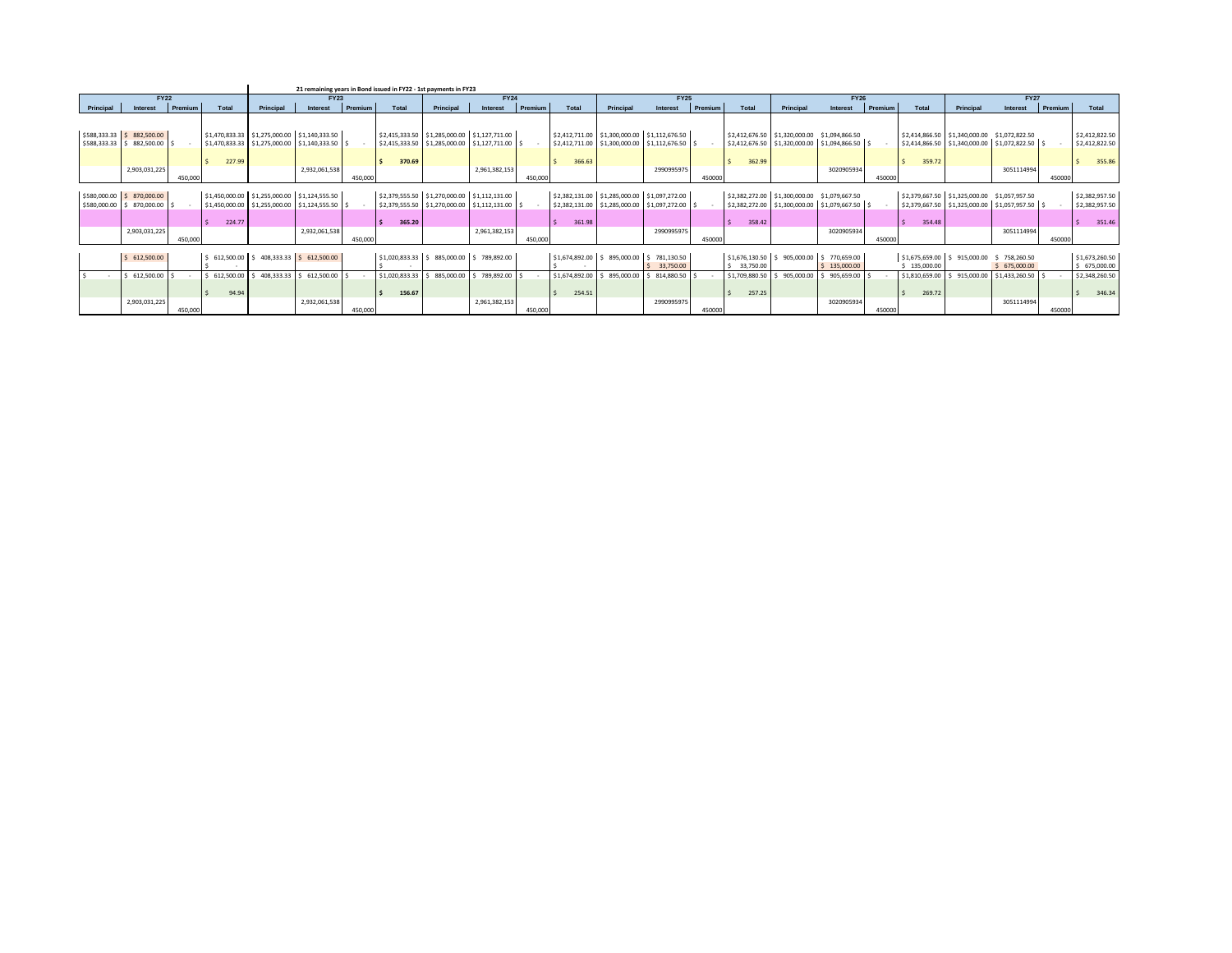|              | 21 remaining vears in Bond issued in FY22 - 1st payments in FY23 |         |                |                                                          |               |         |                |                                              |                                                 |         |                |            |                                              |         |                |                                                 |                    |         |                |                                              |                                     |         |                |
|--------------|------------------------------------------------------------------|---------|----------------|----------------------------------------------------------|---------------|---------|----------------|----------------------------------------------|-------------------------------------------------|---------|----------------|------------|----------------------------------------------|---------|----------------|-------------------------------------------------|--------------------|---------|----------------|----------------------------------------------|-------------------------------------|---------|----------------|
|              | <b>FY22</b>                                                      |         |                |                                                          | <b>FY23</b>   |         |                |                                              | <b>FY24</b>                                     |         |                |            | <b>FY25</b>                                  |         |                |                                                 | <b>FY26</b>        |         |                |                                              | <b>FY27</b>                         |         |                |
| Principal    | Interest                                                         | Premium | Total          | Principal                                                | Interest      | Premium | Total          | Principal                                    | Interest                                        | Premium | Total          | Principal  | Interest                                     | Premium | Total          | Principal                                       | Interest           | Premium | Total          | Principal                                    | Interest                            | Premium | Total          |
|              |                                                                  |         |                |                                                          |               |         |                |                                              |                                                 |         |                |            |                                              |         |                |                                                 |                    |         |                |                                              |                                     |         |                |
|              |                                                                  |         |                |                                                          |               |         |                |                                              |                                                 |         |                |            |                                              |         |                |                                                 |                    |         |                |                                              |                                     |         |                |
|              | \$588,333.33 \$ 882,500.00                                       |         |                | \$1,470,833.33 \$1,275,000.00 \$1,140,333.50             |               |         |                | \$2,415,333.50 \$1,285,000.00 \$1,127,711.00 |                                                 |         |                |            | \$2,412,711.00 \$1,300,000.00 \$1,112,676.50 |         |                | \$2,412,676.50 \$1,320,000.00                   | \$1,094,866.50     |         | \$2,414,866.50 | \$1,340,000.00 \$1,072,822.50                |                                     |         | \$2,412,822.50 |
| \$588,333.33 | \$882,500.00                                                     |         |                |                                                          |               |         |                |                                              | \$2,415,333.50 \$1,285,000.00 \$1,127,711.00 \$ |         |                |            | \$2,412,711.00 \$1,300,000.00 \$1,112,676.50 |         |                | \$2,412,676.50 \$1,320,000.00 \$1,094,866.50 \$ |                    |         | \$2,414,866.50 |                                              | $$1,340,000.00$ $$1,072,822.50$ $$$ |         | \$2,412,822.50 |
|              |                                                                  |         |                |                                                          |               |         |                |                                              |                                                 |         |                |            |                                              |         |                |                                                 |                    |         |                |                                              |                                     |         |                |
|              |                                                                  |         | 227.99         |                                                          |               |         | 370.69         |                                              |                                                 |         | 366.63         |            |                                              |         | 362.99         |                                                 |                    |         | 359.72         |                                              |                                     |         | 355.86         |
|              | 2,903,031,225                                                    |         |                |                                                          | 2,932,061,538 |         |                |                                              | 2,961,382,153                                   |         |                |            | 2990995975                                   |         |                |                                                 | 3020905934         |         |                |                                              | 3051114994                          |         |                |
|              |                                                                  | 450,000 |                |                                                          |               | 450,000 |                |                                              |                                                 | 450.000 |                |            |                                              | 450000  |                |                                                 |                    | 450000  |                |                                              |                                     | 450000  |                |
|              |                                                                  |         |                |                                                          |               |         |                |                                              |                                                 |         |                |            |                                              |         |                |                                                 |                    |         |                |                                              |                                     |         |                |
|              | \$580,000.00 \$ 870,000.00                                       |         |                | \$1,450,000.00 \$1,255,000.00 \$1,124,555.50             |               |         |                | \$2,379,555.50 \$1,270,000.00 \$1,112,131.00 |                                                 |         |                |            | \$2,382,131.00 \$1,285,000.00 \$1,097,272.00 |         |                | \$2,382,272.00 \$1,300,000.00                   | \$1,079,667.50     |         |                | \$2,379,667.50 \$1,325,000.00 \$1,057,957.50 |                                     |         | \$2,382,957.50 |
| \$580,000.00 | \$ 870,000.00                                                    |         | \$1,450,000.00 | \$1,255,000.00 \$1,124,555.50                            |               | $\sim$  |                |                                              | \$2,379,555.50 \$1,270,000.00 \$1,112,131.00 \$ |         |                |            | \$2,382,131.00 \$1,285,000.00 \$1,097,272.00 |         |                | \$2,382,272.00 \$1,300,000.00                   | $$1,079,667.50$ \$ |         | \$2,379,667.50 |                                              | $$1,325,000.00$ $$1,057,957.50$ $$$ |         | \$2,382,957.50 |
|              |                                                                  |         | 224.77         |                                                          |               |         | 365.20         |                                              |                                                 |         | 361.98         |            |                                              |         | 358.42         |                                                 |                    |         | l s<br>354.48  |                                              |                                     |         | 351.46<br>l s  |
|              | 2,903,031,225                                                    |         |                |                                                          | 2,932,061,538 |         |                |                                              | 2,961,382,153                                   |         |                |            | 2990995975                                   |         |                |                                                 | 3020905934         |         |                |                                              | 3051114994                          |         |                |
|              |                                                                  | 450,000 |                |                                                          |               | 450,000 |                |                                              |                                                 | 450,000 |                |            |                                              | 450000  |                |                                                 |                    | 450000  |                |                                              |                                     | 450000  |                |
|              |                                                                  |         |                |                                                          |               |         |                |                                              |                                                 |         |                |            |                                              |         |                |                                                 |                    |         |                |                                              |                                     |         |                |
|              | \$612,500.00                                                     |         |                | $5$ 612,500.00 $\mid$ \$ 408,333,33 $\mid$ \$ 612,500.00 |               |         | \$1,020,833.33 | $$885,000.00$ $$789,892.00$                  |                                                 |         |                |            | \$1,674,892,00 \$ 895,000,00 \$ 781,130.50   |         |                | \$1,676,130,50 \$905,000,00 \$770,659.00        |                    |         | \$1,675,659.00 | \$915,000.00                                 | \$758,260.50                        |         | \$1,673,260.50 |
|              |                                                                  |         |                |                                                          |               |         |                |                                              |                                                 |         |                |            | 33,750.00                                    |         | 33,750.00      |                                                 | \$135,000.00       |         | \$135,000.00   |                                              | \$675,000.00                        |         | \$675,000.00   |
|              | 612,500.00                                                       |         | 612,500.00     | 408.333.33                                               | 612,500.00    |         | \$1,020,833.33 | 885,000.00                                   | 789,892.00                                      |         | \$1,674,892.00 | 895,000.00 | 814,880.50                                   |         | \$1,709,880.50 | 905.000.00                                      | 905,659.00         |         | \$1,810,659.00 | 915,000.00                                   | $$1,433,260.50$ \$                  |         | \$2,348,260.50 |
|              |                                                                  |         |                |                                                          |               |         |                |                                              |                                                 |         |                |            |                                              |         |                |                                                 |                    |         |                |                                              |                                     |         |                |
|              |                                                                  |         | 94.94          |                                                          |               |         | 156.67         |                                              |                                                 |         | 254.51         |            |                                              |         | 257.25         |                                                 |                    |         | 269.72         |                                              |                                     |         | 346.34         |
|              | 2,903,031,225                                                    |         |                |                                                          | 2,932,061,538 |         |                |                                              | 2,961,382,153                                   |         |                |            | 2990995975                                   |         |                |                                                 | 3020905934         |         |                |                                              | 3051114994                          |         |                |
|              |                                                                  | 450,000 |                |                                                          |               | 450,000 |                |                                              |                                                 | 450,000 |                |            |                                              | 450000  |                |                                                 |                    | 450000  |                |                                              |                                     | 450000  |                |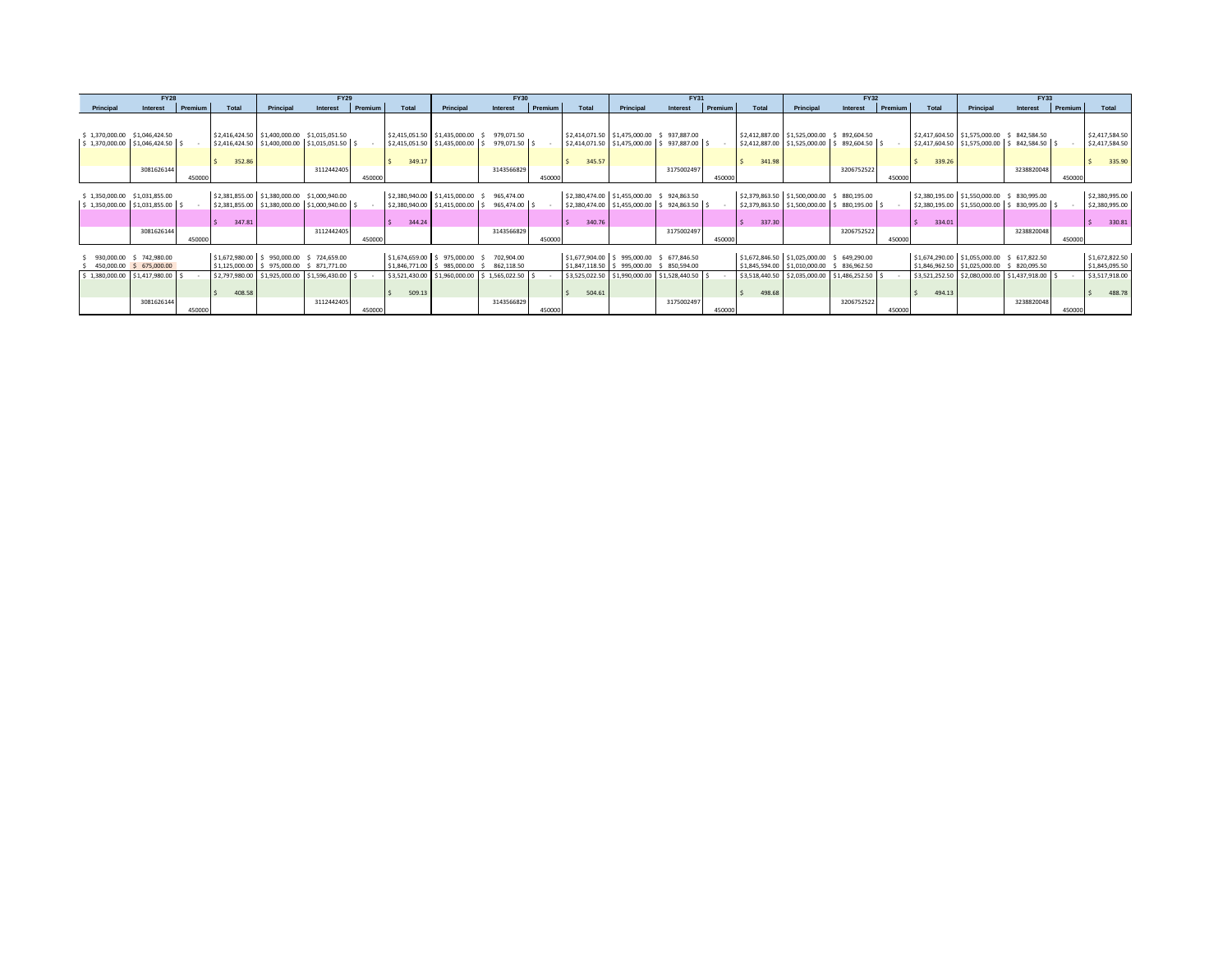|                                                                      | <b>FY28</b>                  |         |        |                                                                                                                                         | <b>FY29</b> |         | <b>FY30</b>                                                |                                                                |                                                                          |         |        | <b>FY31</b>                                                                                                                          |                          |         |                                                               | <b>FY32</b>                                                                    |                                   | <b>FY33</b> |        |                                                                                                                                               |            |                |                                                    |
|----------------------------------------------------------------------|------------------------------|---------|--------|-----------------------------------------------------------------------------------------------------------------------------------------|-------------|---------|------------------------------------------------------------|----------------------------------------------------------------|--------------------------------------------------------------------------|---------|--------|--------------------------------------------------------------------------------------------------------------------------------------|--------------------------|---------|---------------------------------------------------------------|--------------------------------------------------------------------------------|-----------------------------------|-------------|--------|-----------------------------------------------------------------------------------------------------------------------------------------------|------------|----------------|----------------------------------------------------|
| Principal                                                            | Interest                     | Premium | Total  | Principal                                                                                                                               | Interest    | Premium | Total                                                      | Principal                                                      | Interest                                                                 | Premium | Total  | Principal                                                                                                                            | Interest                 | Premium | Total                                                         | Principal                                                                      | Interest                          | Premium     | Total  | Principal                                                                                                                                     | Interest   | <b>Premium</b> | Total                                              |
| \$1,370,000.00 \$1,046,424.50<br>$$1,370,000.00$ $$1,046,424.50$ $$$ |                              |         | 352.86 | \$2,416,424.50 \$1,400,000.00 \$1,015,051.50<br>\$2,416,424.50 \$1,400,000.00 \$1,015,051.50 \$                                         |             |         | \$2,415,051.50 \$1,435,000.00<br>349.17                    | \$2,415,051.50 \$1,435,000.00 \$                               | 979.071.50<br>979.071.50 S                                               |         | 345.57 | \$2,414,071.50 \$1,475,000.00<br>\$2,414,071.50 \$1,475,000.00 \$937,887.00                                                          | 937.887.00               |         | 341.98                                                        | \$2,412,887.00 \$1,525,000.00<br>\$2,412,887.00 \$1,525,000.00 \$892,604.50 \$ | \$892,604.50                      |             | 339.26 | \$2,417,604.50 \$1,575,000.00 \$842,584.50<br>\$2,417,604.50 \$1,575,000.00 \$842,584.50 \$                                                   |            |                | \$2,417,584.50<br>\$2,417,584.50<br>335.90         |
|                                                                      | 3081626144                   | 450000  |        |                                                                                                                                         | 3112442405  | 450000  |                                                            |                                                                | 3143566829                                                               | 450000  |        |                                                                                                                                      | 3175002497               | 450000  |                                                               |                                                                                | 3206752522                        | 450000      |        |                                                                                                                                               | 3238820048 | 450000         |                                                    |
| \$1,350,000.00 \$1,031,855.00<br>\$1,350,000.00                      | $$1,031,855.00$ \ \$         |         | 347.81 | \$2,381,855.00 \$1,380,000.00 \$1,000,940.00<br>\$2,381,855.00 \$1,380,000.00 \$1,000,940.00 \$                                         |             |         | 344.24                                                     | \$2,380,940.00 \$1,415,000.00<br>\$2,380,940.00 \$1,415,000.00 | 965,474.00<br>965,474.00                                                 |         | 340.76 | \$2,380,474.00 \$1,455,000.00 \$<br>\$2,380,474.00 \$1,455,000.00                                                                    | 924,863.50<br>924,863.50 |         | 337.30                                                        | \$2,379,863.50 \$1,500,000.00<br>\$2,379,863.50 \$1,500,000.00                 | \$ 880,195.00<br>\$ 880,195.00 \$ |             | 334.01 | \$2,380,195.00 \$1,550,000.00 \$830,995.00<br>\$2,380,195.00 \$1,550,000.00 \$830,995.00 \$                                                   |            |                | \$2,380,995.00<br>\$2,380,995.00<br>330.81         |
|                                                                      | 3081626144                   | 450000  |        |                                                                                                                                         | 311244240   | 450000  |                                                            |                                                                | 3143566829                                                               | 450000  |        |                                                                                                                                      | 3175002497               | 450000  |                                                               |                                                                                | 3206752522                        | 450000      |        |                                                                                                                                               | 3238820048 | 450000         |                                                    |
| 930,000.00<br>450,000.00<br>\$1,380,000.00 \$1,417,980.00 \$         | \$742,980.00<br>\$675,000.00 |         |        | \$1,672,980.00 \$950,000.00 \$724,659.00<br>\$1,125,000.00 \$975,000.00 \$871,771.00<br>\$2,797,980.00 \$1,925,000.00 \$1,596,430.00 \$ |             |         | \$1,674,659,00 \$975,000,00<br>\$1,846,771.00 \$985,000.00 |                                                                | 702,904.00<br>862,118.50<br>\$3,521,430.00 \$1,960,000.00 \$1,565,022.50 |         |        | \$1,677,904.00 \$995,000.00 \$677,846.50<br>\$1,847,118.50 \$995,000.00 \$850,594.00<br>\$3,525,022.50 \$1,990,000.00 \$1,528,440.50 |                          |         | \$1,672,846.50 \$1,025,000.00 \$ 649,290.00<br>\$3,518,440.50 | \$1,845,594.00 \$1,010,000.00<br>\$2,035,000.00 \$1,486,252.50 \$              | \$836,962.50                      |             |        | \$1,674,290.00 \$1,055,000.00 \$ 617,822.50<br>\$1,846,962.50 \$1,025,000.00 \$ 820,095.50<br>\$3,521,252.50 \$2,080,000.00 \$1,437,918.00 \$ |            |                | \$1,672,822.50<br>\$1,845,095.50<br>\$3,517,918.00 |
|                                                                      | 3081626144                   | 450000  | 408.58 |                                                                                                                                         | 3112442405  | 450000  | 509.13                                                     |                                                                | 3143566829                                                               | 450000  | 504.61 |                                                                                                                                      | 3175002497               | 450000  | 498.68                                                        |                                                                                | 3206752522                        | 450000      | 494.13 |                                                                                                                                               | 3238820048 | 450000         | 488.78                                             |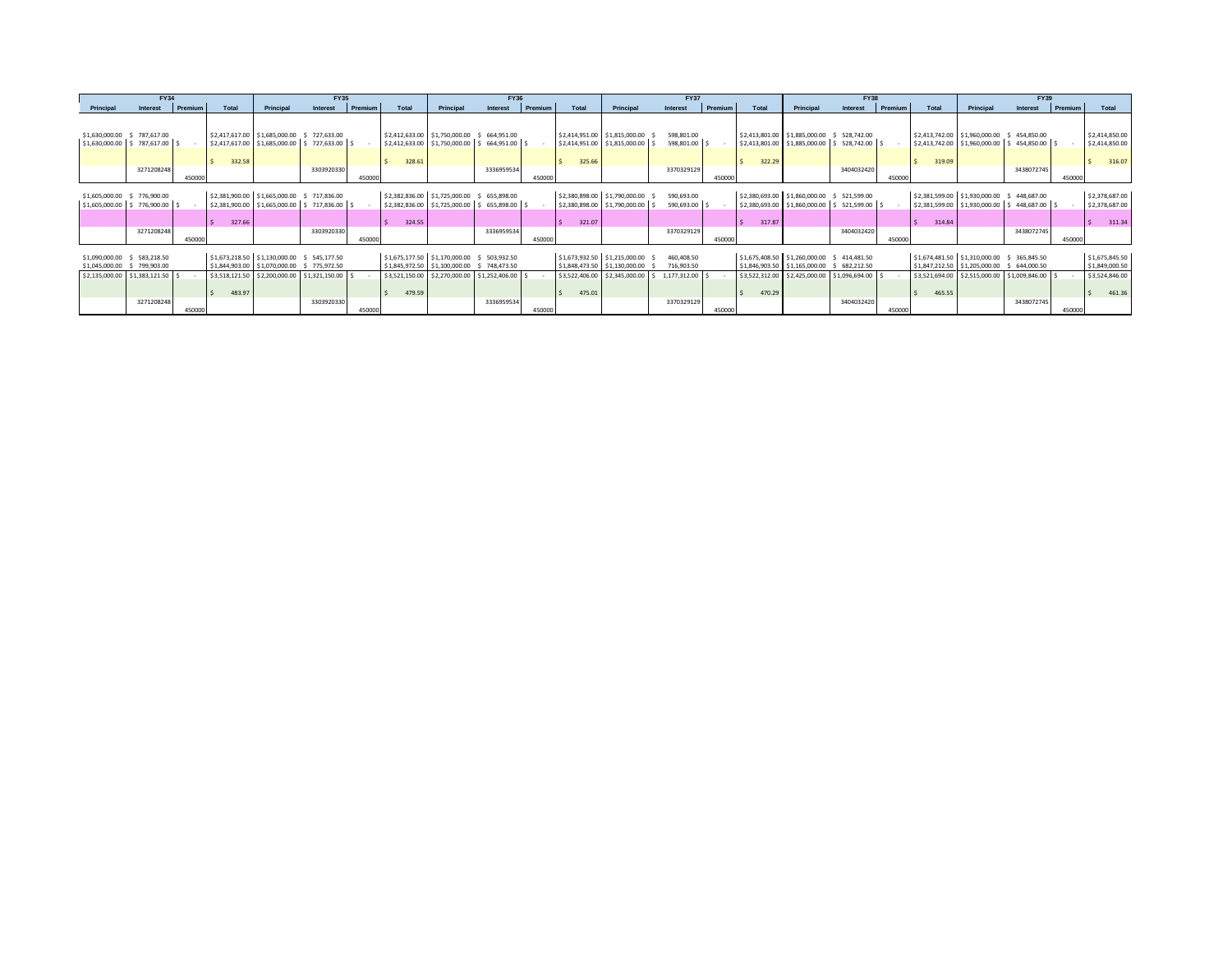|                                                                                    | <b>FY34</b>                       |         |        |                                                                                                                                           | <b>FY35</b> |         |        |                                                                                                                                              | <b>FY36</b>   |         |        |                                                                                                 | <b>FY37</b>                              |         |                                                      |                                                 | <b>FY38</b>                                                     |         |        |                                                                                                                                             | <b>FY39</b>                 |         |                                                              |  |
|------------------------------------------------------------------------------------|-----------------------------------|---------|--------|-------------------------------------------------------------------------------------------------------------------------------------------|-------------|---------|--------|----------------------------------------------------------------------------------------------------------------------------------------------|---------------|---------|--------|-------------------------------------------------------------------------------------------------|------------------------------------------|---------|------------------------------------------------------|-------------------------------------------------|-----------------------------------------------------------------|---------|--------|---------------------------------------------------------------------------------------------------------------------------------------------|-----------------------------|---------|--------------------------------------------------------------|--|
| Principal                                                                          | Interest                          | Premium | Total  | Principal                                                                                                                                 | Interest    | Premium | Total  | Principal                                                                                                                                    | Interest      | Premium | Total  | Principal                                                                                       | Interest                                 | Premium | Total                                                | Principal                                       | Interest                                                        | Premium | Total  | Principal                                                                                                                                   | Interest                    | Premium | Total                                                        |  |
| \$1,630,000.00<br>$$1,630,000.00$ $$787,617.00$ $$$                                | \$787,617.00                      |         | 332.58 | \$2,417,617.00 \$1,685,000.00<br>\$2,417,617.00 \$1,685,000.00 \$727,633.00 \$                                                            | 727,633.00  |         | 328.61 | \$2,412,633.00 \$1,750,000.00<br>\$2,412,633.00 \$1,750,000.00 \$ 664,951.00 \$                                                              | \$ 664,951.00 |         | 325.66 | \$2,414,951.00 \$1,815,000.00<br>\$2,414,951.00 \$1,815,000.00                                  | 598.801.00<br>598,801.00 \$              |         | 322.29                                               | \$2,413,801.00 \$1,885,000.00                   | \$528,742.00<br>\$2,413,801.00 \$1,885,000.00 \$ 528,742.00 \$  |         | 319.09 | \$2,413,742.00 \$1,960,000.00 \$454,850.00<br>\$2,413,742.00 \$1,960,000.00 \$454,850.00 \$                                                 |                             |         | \$2,414,850.00<br>\$2,414,850.00<br>316.07                   |  |
|                                                                                    | 3271208248                        | 450000  |        |                                                                                                                                           | 3303920330  | 450000  |        |                                                                                                                                              | 3336959534    | 450000  |        |                                                                                                 | 3370329129                               | 450000  |                                                      |                                                 | 3404032420                                                      | 450000  |        |                                                                                                                                             | 3438072745                  | 450000  |                                                              |  |
| \$1,605,000.00<br>\$1,605,000.00                                                   | \$776,900.00<br>$$776,900.00$ $$$ |         | 327.66 | \$2,381,900.00 \$1,665,000.00 \$717,836.00<br>\$2,381,900.00 \$1,665,000.00 \$717,836.00 \$                                               |             |         | 324.55 | \$2,382,836.00 \$1,725,000.00 \$ 655,898.00<br>\$2,382,836.00 \$1,725,000.00 \$ 655,898.00 \$                                                |               |         | 321.07 | \$2,380,898.00 \$1,790,000.00<br>\$2,380,898.00 \$1,790,000.00                                  | 590,693.00<br>590,693.00                 |         | \$2,380,693.00<br>317.87                             | \$2,380,693.00 \$1,860,000.00<br>\$1,860,000.00 | \$521,599.00<br>$$521,599.00$ \$                                |         | 314.84 | \$2,381,599.00 \$1,930,000.00 \$<br>\$2,381,599.00 \$1,930,000.00 \$                                                                        | 448,687.00<br>448,687.00 \$ |         | \$2,378,687.00<br>\$2,378,687.00<br>311.34                   |  |
|                                                                                    | 3271208248                        | 450000  |        |                                                                                                                                           | 3303920330  | 450000  |        |                                                                                                                                              | 3336959534    | 450000  |        |                                                                                                 | 3370329129                               | 450000  |                                                      |                                                 | 3404032420                                                      | 450000  |        |                                                                                                                                             | 3438072745                  | 450000  |                                                              |  |
| \$1,090,000.00 \$ 583,218.50<br>\$1,045,000.00<br>\$2,135,000.00 \$1,383,121.50 \$ | \$799,903.00                      |         | 483.97 | \$1,673,218.50 \$1,130,000.00 \$ 545,177.50<br>\$1,844,903.00 \$1,070,000.00 \$775,972.50<br>\$3,518,121.50 \$2,200,000.00 \$1,321,150.00 |             |         | 479.59 | \$1,675,177.50 \$1,170,000.00 \$ 503,932.50<br>\$1,845,972.50 \$1,100,000.00 \$748,473.50<br>\$3,521,150.00 \$2,270,000.00 \$1,252,406.00 \$ |               |         | 475.01 | \$1,673,932.50 \$1,215,000.00<br>\$1,848,473.50 \$1,130,000.00<br>\$3,522,406.00 \$2,345,000.00 | 460.408.50<br>716,903.50<br>1,177,312.00 |         | \$1,675,408.50 \$1,260,000.00 \$414,481.50<br>470.29 | \$1,846,903.50 \$1,165,000.00                   | \$682,212.50<br>\$3,522,312.00 \$2,425,000.00 \$1,096,694.00 \$ |         | 465.55 | \$1,674,481.50 \$1,310,000.00 \$365,845.50<br>\$1,847,212.50 \$1,205,000.00 \$644,000.50<br>\$3,521,694.00 \$2,515,000.00 \$1,009,846.00 \$ |                             |         | \$1,675,845.50<br>\$1,849,000.50<br>\$3,524,846.00<br>461.36 |  |
|                                                                                    | 3271208248                        | 450000  |        |                                                                                                                                           | 3303920330  | 450000  |        |                                                                                                                                              | 3336959534    | 450000  |        |                                                                                                 | 3370329129                               | 450000  |                                                      |                                                 | 3404032420                                                      | 450000  |        |                                                                                                                                             | 3438072745                  | 450000  |                                                              |  |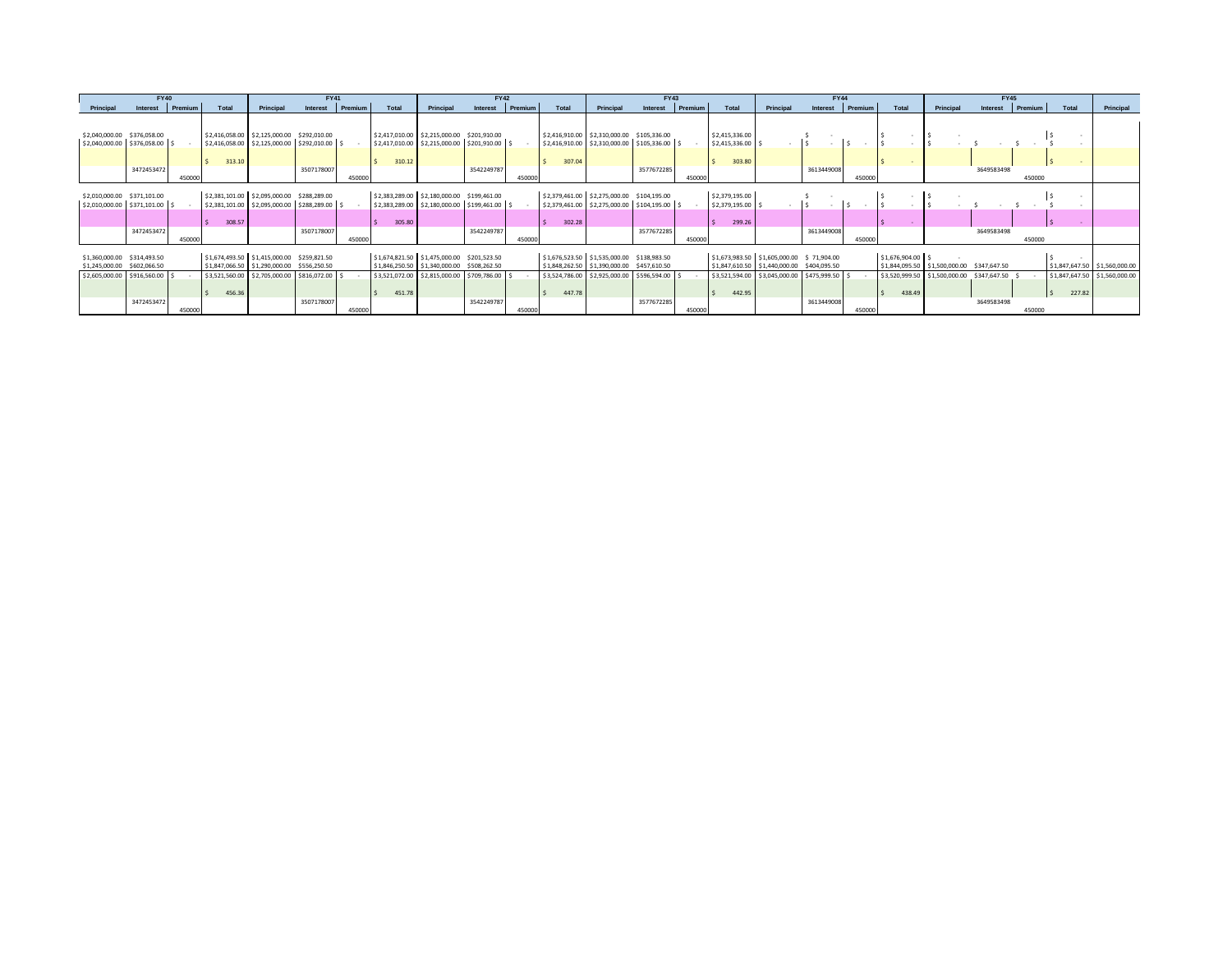| <b>FY40</b><br><b>FY41</b>      |         |        |                                               |              |         | <b>FY42</b>      |                                               |            |                | <b>FY43</b>                                |                                               |            |                | <b>FY44</b>    |                                               |            |                |                   |                               |              |         |        |                               |
|---------------------------------|---------|--------|-----------------------------------------------|--------------|---------|------------------|-----------------------------------------------|------------|----------------|--------------------------------------------|-----------------------------------------------|------------|----------------|----------------|-----------------------------------------------|------------|----------------|-------------------|-------------------------------|--------------|---------|--------|-------------------------------|
| Interest                        | Premium | Total  | Principal                                     | Interest     | Premium | Total            | Principal                                     | Interest   | <b>Premium</b> | Total                                      | Principal                                     | Interest   | <b>Premium</b> | Total          | Principal                                     | Interest   | <b>Premium</b> | Total             | Principal                     | Interest     | Premium | Total  | Principal                     |
|                                 |         |        |                                               |              |         |                  |                                               |            |                |                                            |                                               |            |                |                |                                               |            |                |                   |                               |              |         |        |                               |
|                                 |         |        |                                               |              |         |                  |                                               |            |                |                                            |                                               |            |                |                |                                               |            |                |                   |                               |              |         |        |                               |
| \$2,040,000.00 \$376,058.00     |         |        | \$2,416,058.00 \$2,125,000.00 \$292,010.00    |              |         |                  | \$2,417,010.00 \$2,215,000.00 \$201,910.00    |            |                |                                            | \$2,416,910.00 \$2,310,000.00 \$105,336.00    |            |                | \$2,415,336.00 |                                               |            |                |                   |                               |              |         |        |                               |
| \$2,040,000.00 \$376,058.00 \$  |         |        | \$2,416,058.00 \$2,125,000.00 \$292,010.00 \$ |              |         |                  | \$2,417,010.00 \$2,215,000.00 \$201,910.00 \$ |            |                |                                            | \$2,416,910.00 \$2,310,000.00 \$105,336.00 \$ |            |                | \$2,415,336.00 |                                               |            |                |                   |                               |              |         |        |                               |
|                                 |         |        |                                               |              |         |                  |                                               |            |                |                                            |                                               |            |                |                |                                               |            |                |                   |                               |              |         |        |                               |
|                                 |         | 313.10 |                                               |              |         | 310.12           |                                               |            |                | 307.04                                     |                                               |            |                | 303.80         |                                               |            |                |                   |                               |              |         |        |                               |
| 3472453472                      |         |        |                                               | 3507178007   |         |                  |                                               | 3542249787 |                |                                            |                                               | 3577672285 |                |                |                                               | 3613449008 |                |                   |                               | 3649583498   |         |        |                               |
|                                 | 450000  |        |                                               |              | 450000  |                  |                                               |            | 450000         |                                            |                                               |            | 450000         |                |                                               |            | 450000         |                   |                               |              | 450000  |        |                               |
|                                 |         |        |                                               |              |         |                  |                                               |            |                |                                            |                                               |            |                |                |                                               |            |                |                   |                               |              |         |        |                               |
| \$2,010,000.00 \$371,101.00     |         |        | \$2,381,101.00 \$2,095,000.00                 | \$288,289.00 |         |                  | \$2,383,289.00 \$2,180,000.00 \$199,461.00    |            |                |                                            | \$2,379,461.00 \$2,275,000.00 \$104,195.00    |            |                | \$2,379,195.00 |                                               |            |                |                   |                               |              |         |        |                               |
| $$2,010,000.00$ $$371,101.00$ s |         |        | \$2,381,101.00 \$2,095,000.00 \$288,289.00    |              |         | \$2,383,289.00   | \$2,180,000.00 \$199,461.00 \$                |            |                |                                            | \$2,379,461.00 \$2,275,000.00 \$104,195.00    |            |                | \$2,379,195.00 |                                               |            |                |                   |                               |              |         |        |                               |
|                                 |         |        |                                               |              |         |                  |                                               |            |                |                                            |                                               |            |                |                |                                               |            |                |                   |                               |              |         |        |                               |
| 3472453472                      |         | 308.57 |                                               |              |         | 305.80<br>$\leq$ |                                               |            |                | 302.28                                     |                                               |            |                | 299.26         |                                               |            |                |                   |                               |              |         |        |                               |
|                                 | 450000  |        |                                               | 3507178007   | 450000  |                  |                                               | 3542249787 | 450000         |                                            |                                               | 3577672285 | 450000         |                |                                               | 3613449008 | 450000         |                   |                               | 3649583498   | 450000  |        |                               |
|                                 |         |        |                                               |              |         |                  |                                               |            |                |                                            |                                               |            |                |                |                                               |            |                |                   |                               |              |         |        |                               |
| \$1,360,000.00 \$314,493.50     |         |        | \$1,674,493.50 \$1,415,000.00 \$259,821.50    |              |         |                  | \$1,674,821.50 \$1,475,000.00 \$201,523.50    |            |                | \$1,676,523.50 \$1,535,000.00 \$138,983.50 |                                               |            |                |                | \$1,673,983.50 \$1,605,000.00 \$71,904.00     |            |                | \$1,676,904.00 \$ |                               |              |         |        |                               |
| \$1,245,000.00 \$602,066.50     |         |        | \$1,847,066.50 \$1,290,000.00 \$556,250.50    |              |         |                  | \$1,846,250.50 \$1,340,000.00 \$508,262.50    |            |                |                                            | \$1,848,262.50 \$1,390,000.00 \$457,610.50    |            |                |                | \$1,847,610.50 \$1,440,000.00 \$404,095.50    |            |                |                   | \$1,844,095.50 \$1,500,000.00 | \$347,647.50 |         |        | \$1,847,647.50 \$1,560,000.00 |
| \$2,605,000.00 \$916,560.00     |         |        | \$3,521,560.00 \$2,705,000.00 \$816,072.00 \$ |              |         |                  | \$3,521,072.00 \$2,815,000.00 \$709,786.00 \$ |            |                |                                            | \$3,524,786.00 \$2,925,000.00 \$596,594.00 \$ |            |                |                | \$3,521,594.00 \$3,045,000.00 \$475,999.50 \$ |            |                |                   | \$3,520,999.50 \$1,500,000.00 | \$347,647.50 |         |        | \$1,847,647.50 \$1,560,000.00 |
|                                 |         |        |                                               |              |         |                  |                                               |            |                |                                            |                                               |            |                |                |                                               |            |                |                   |                               |              |         |        |                               |
|                                 |         | 456.36 |                                               |              |         | 451.78           |                                               |            |                | 447.78                                     |                                               |            |                | 442.95         |                                               |            |                | 438.49            |                               |              |         | 227.82 |                               |
| 3472453472                      |         |        |                                               | 3507178007   |         |                  |                                               | 3542249787 |                |                                            |                                               | 3577672285 |                |                |                                               | 3613449008 |                |                   |                               | 3649583498   |         |        |                               |
|                                 | 450000  |        |                                               |              | 450000  |                  |                                               |            | 450000         |                                            |                                               |            | 450000         |                |                                               |            | 450000         |                   |                               |              | 450000  |        |                               |